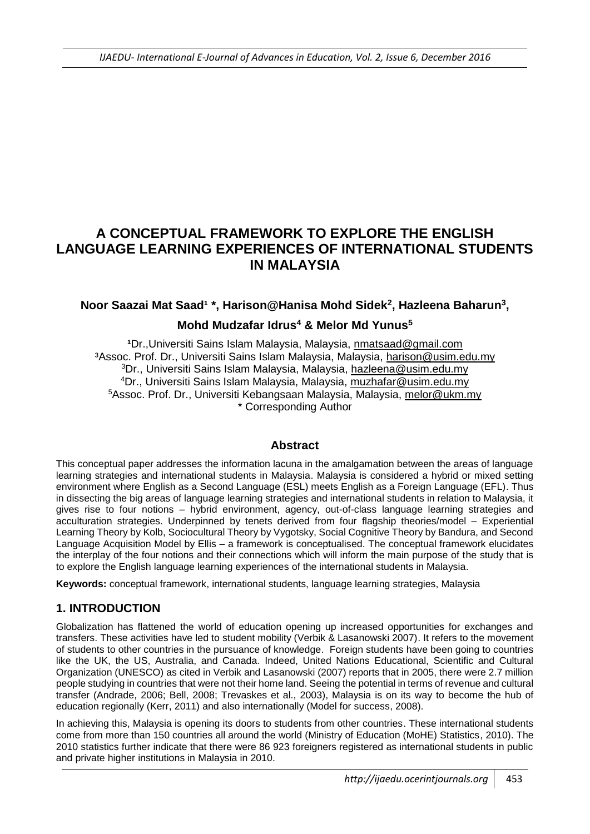# **A CONCEPTUAL FRAMEWORK TO EXPLORE THE ENGLISH LANGUAGE LEARNING EXPERIENCES OF INTERNATIONAL STUDENTS IN MALAYSIA**

### **Noor Saazai Mat Saad<sup>1</sup> \*, Harison@Hanisa Mohd Sidek<sup>2</sup>, Hazleena Baharun<sup>3</sup>,**

### **Mohd Mudzafar Idrus<sup>4</sup> & Melor Md Yunus<sup>5</sup>**

Dr.,Universiti Sains Islam Malaysia, Malaysia, [nmatsaad@gmail.com](mailto:nmatsaad@gmail.com) ³Assoc. Prof. Dr., Universiti Sains Islam Malaysia, Malaysia, [harison@usim.edu.my](mailto:harison@usim.edu.my) Dr., Universiti Sains Islam Malaysia, Malaysia, [hazleena@usim.edu.my](mailto:hazleena@usim.edu.my) Dr., Universiti Sains Islam Malaysia, Malaysia, [muzhafar@usim.edu.my](mailto:muzhafar@usim.edu.my) Assoc. Prof. Dr., Universiti Kebangsaan Malaysia, Malaysia, [melor@ukm.my](mailto:melor@ukm.my) \* Corresponding Author

#### **Abstract**

This conceptual paper addresses the information lacuna in the amalgamation between the areas of language learning strategies and international students in Malaysia. Malaysia is considered a hybrid or mixed setting environment where English as a Second Language (ESL) meets English as a Foreign Language (EFL). Thus in dissecting the big areas of language learning strategies and international students in relation to Malaysia, it gives rise to four notions – hybrid environment, agency, out-of-class language learning strategies and acculturation strategies. Underpinned by tenets derived from four flagship theories/model – Experiential Learning Theory by Kolb, Sociocultural Theory by Vygotsky, Social Cognitive Theory by Bandura, and Second Language Acquisition Model by Ellis – a framework is conceptualised. The conceptual framework elucidates the interplay of the four notions and their connections which will inform the main purpose of the study that is to explore the English language learning experiences of the international students in Malaysia.

**Keywords:** conceptual framework, international students, language learning strategies, Malaysia

## **1. INTRODUCTION**

Globalization has flattened the world of education opening up increased opportunities for exchanges and transfers. These activities have led to student mobility (Verbik & Lasanowski 2007). It refers to the movement of students to other countries in the pursuance of knowledge. Foreign students have been going to countries like the UK, the US, Australia, and Canada. Indeed, United Nations Educational, Scientific and Cultural Organization (UNESCO) as cited in Verbik and Lasanowski (2007) reports that in 2005, there were 2.7 million people studying in countries that were not their home land. Seeing the potential in terms of revenue and cultural transfer (Andrade, 2006; Bell, 2008; Trevaskes et al., 2003), Malaysia is on its way to become the hub of education regionally (Kerr, 2011) and also internationally (Model for success, 2008).

In achieving this, Malaysia is opening its doors to students from other countries. These international students come from more than 150 countries all around the world (Ministry of Education (MoHE) Statistics, 2010). The 2010 statistics further indicate that there were 86 923 foreigners registered as international students in public and private higher institutions in Malaysia in 2010.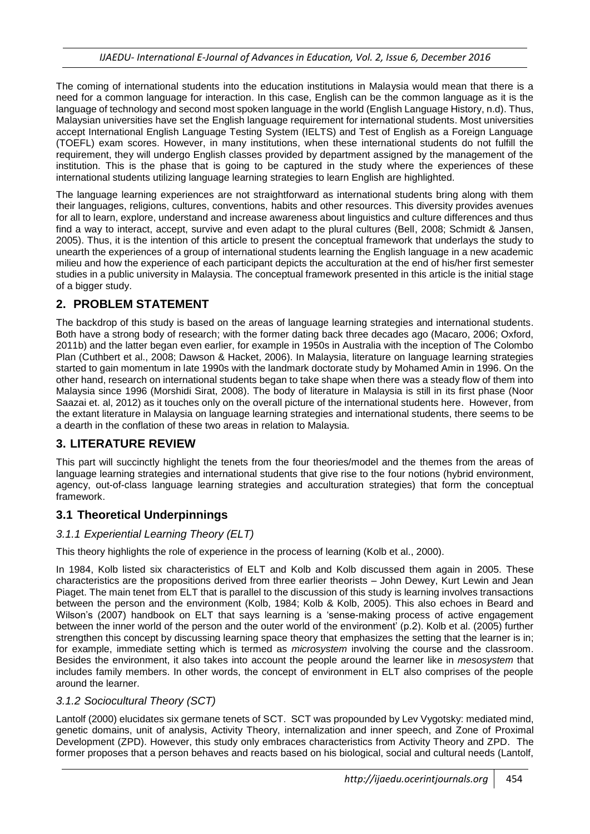The coming of international students into the education institutions in Malaysia would mean that there is a need for a common language for interaction. In this case, English can be the common language as it is the language of technology and second most spoken language in the world (English Language History, n.d). Thus, Malaysian universities have set the English language requirement for international students. Most universities accept International English Language Testing System (IELTS) and Test of English as a Foreign Language (TOEFL) exam scores. However, in many institutions, when these international students do not fulfill the requirement, they will undergo English classes provided by department assigned by the management of the institution. This is the phase that is going to be captured in the study where the experiences of these international students utilizing language learning strategies to learn English are highlighted.

The language learning experiences are not straightforward as international students bring along with them their languages, religions, cultures, conventions, habits and other resources. This diversity provides avenues for all to learn, explore, understand and increase awareness about linguistics and culture differences and thus find a way to interact, accept, survive and even adapt to the plural cultures (Bell, 2008; Schmidt & Jansen, 2005). Thus, it is the intention of this article to present the conceptual framework that underlays the study to unearth the experiences of a group of international students learning the English language in a new academic milieu and how the experience of each participant depicts the acculturation at the end of his/her first semester studies in a public university in Malaysia. The conceptual framework presented in this article is the initial stage of a bigger study.

## **2. PROBLEM STATEMENT**

The backdrop of this study is based on the areas of language learning strategies and international students. Both have a strong body of research; with the former dating back three decades ago (Macaro, 2006; Oxford, 2011b) and the latter began even earlier, for example in 1950s in Australia with the inception of The Colombo Plan (Cuthbert et al., 2008; Dawson & Hacket, 2006). In Malaysia, literature on language learning strategies started to gain momentum in late 1990s with the landmark doctorate study by Mohamed Amin in 1996. On the other hand, research on international students began to take shape when there was a steady flow of them into Malaysia since 1996 (Morshidi Sirat, 2008). The body of literature in Malaysia is still in its first phase (Noor Saazai et. al, 2012) as it touches only on the overall picture of the international students here. However, from the extant literature in Malaysia on language learning strategies and international students, there seems to be a dearth in the conflation of these two areas in relation to Malaysia.

## **3. LITERATURE REVIEW**

This part will succinctly highlight the tenets from the four theories/model and the themes from the areas of language learning strategies and international students that give rise to the four notions (hybrid environment, agency, out-of-class language learning strategies and acculturation strategies) that form the conceptual framework.

## **3.1 Theoretical Underpinnings**

#### *3.1.1 Experiential Learning Theory (ELT)*

This theory highlights the role of experience in the process of learning (Kolb et al., 2000).

In 1984, Kolb listed six characteristics of ELT and Kolb and Kolb discussed them again in 2005. These characteristics are the propositions derived from three earlier theorists – John Dewey, Kurt Lewin and Jean Piaget. The main tenet from ELT that is parallel to the discussion of this study is learning involves transactions between the person and the environment (Kolb, 1984; Kolb & Kolb, 2005). This also echoes in Beard and Wilson's (2007) handbook on ELT that says learning is a 'sense-making process of active engagement between the inner world of the person and the outer world of the environment' (p.2). Kolb et al. (2005) further strengthen this concept by discussing learning space theory that emphasizes the setting that the learner is in; for example, immediate setting which is termed as *microsystem* involving the course and the classroom. Besides the environment, it also takes into account the people around the learner like in *mesosystem* that includes family members. In other words, the concept of environment in ELT also comprises of the people around the learner.

#### *3.1.2 Sociocultural Theory (SCT)*

Lantolf (2000) elucidates six germane tenets of SCT. SCT was propounded by Lev Vygotsky: mediated mind, genetic domains, unit of analysis, Activity Theory, internalization and inner speech, and Zone of Proximal Development (ZPD). However, this study only embraces characteristics from Activity Theory and ZPD. The former proposes that a person behaves and reacts based on his biological, social and cultural needs (Lantolf,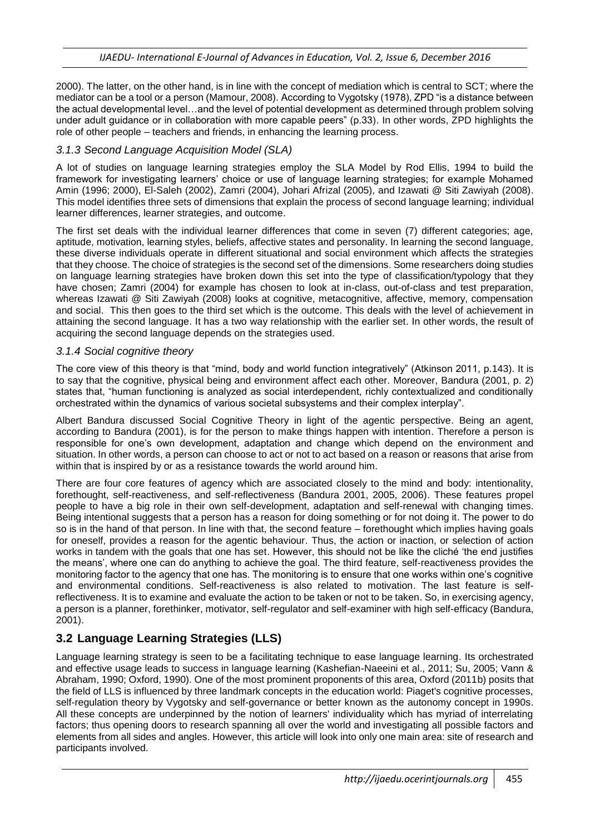2000). The latter, on the other hand, is in line with the concept of mediation which is central to SCT; where the mediator can be a tool or a person (Mamour, 2008). According to Vygotsky (1978), ZPD "is a distance between the actual developmental level…and the level of potential development as determined through problem solving under adult guidance or in collaboration with more capable peers" (p.33). In other words, ZPD highlights the role of other people – teachers and friends, in enhancing the learning process.

#### *3.1.3 Second Language Acquisition Model (SLA)*

A lot of studies on language learning strategies employ the SLA Model by Rod Ellis, 1994 to build the framework for investigating learners' choice or use of language learning strategies; for example Mohamed Amin (1996; 2000), El-Saleh (2002), Zamri (2004), Johari Afrizal (2005), and Izawati @ Siti Zawiyah (2008). This model identifies three sets of dimensions that explain the process of second language learning; individual learner differences, learner strategies, and outcome.

The first set deals with the individual learner differences that come in seven (7) different categories; age, aptitude, motivation, learning styles, beliefs, affective states and personality. In learning the second language, these diverse individuals operate in different situational and social environment which affects the strategies that they choose. The choice of strategies is the second set of the dimensions. Some researchers doing studies on language learning strategies have broken down this set into the type of classification/typology that they have chosen; Zamri (2004) for example has chosen to look at in-class, out-of-class and test preparation, whereas Izawati @ Siti Zawiyah (2008) looks at cognitive, metacognitive, affective, memory, compensation and social. This then goes to the third set which is the outcome. This deals with the level of achievement in attaining the second language. It has a two way relationship with the earlier set. In other words, the result of acquiring the second language depends on the strategies used.

#### *3.1.4 Social cognitive theory*

The core view of this theory is that "mind, body and world function integratively" (Atkinson 2011, p.143). It is to say that the cognitive, physical being and environment affect each other. Moreover, Bandura (2001, p. 2) states that, "human functioning is analyzed as social interdependent, richly contextualized and conditionally orchestrated within the dynamics of various societal subsystems and their complex interplay".

Albert Bandura discussed Social Cognitive Theory in light of the agentic perspective. Being an agent, according to Bandura (2001), is for the person to make things happen with intention. Therefore a person is responsible for one's own development, adaptation and change which depend on the environment and situation. In other words, a person can choose to act or not to act based on a reason or reasons that arise from within that is inspired by or as a resistance towards the world around him.

There are four core features of agency which are associated closely to the mind and body: intentionality, forethought, self-reactiveness, and self-reflectiveness (Bandura 2001, 2005, 2006). These features propel people to have a big role in their own self-development, adaptation and self-renewal with changing times. Being intentional suggests that a person has a reason for doing something or for not doing it. The power to do so is in the hand of that person. In line with that, the second feature – forethought which implies having goals for oneself, provides a reason for the agentic behaviour. Thus, the action or inaction, or selection of action works in tandem with the goals that one has set. However, this should not be like the cliché 'the end justifies the means', where one can do anything to achieve the goal. The third feature, self-reactiveness provides the monitoring factor to the agency that one has. The monitoring is to ensure that one works within one's cognitive and environmental conditions. Self-reactiveness is also related to motivation. The last feature is selfreflectiveness. It is to examine and evaluate the action to be taken or not to be taken. So, in exercising agency, a person is a planner, forethinker, motivator, self-regulator and self-examiner with high self-efficacy (Bandura, 2001).

## **3.2 Language Learning Strategies (LLS)**

Language learning strategy is seen to be a facilitating technique to ease language learning. Its orchestrated and effective usage leads to success in language learning (Kashefian-Naeeini et al., 2011; Su, 2005; Vann & Abraham, 1990; Oxford, 1990). One of the most prominent proponents of this area, Oxford (2011b) posits that the field of LLS is influenced by three landmark concepts in the education world: Piaget's cognitive processes, self-regulation theory by Vygotsky and self-governance or better known as the autonomy concept in 1990s. All these concepts are underpinned by the notion of learners' individuality which has myriad of interrelating factors; thus opening doors to research spanning all over the world and investigating all possible factors and elements from all sides and angles. However, this article will look into only one main area: site of research and participants involved.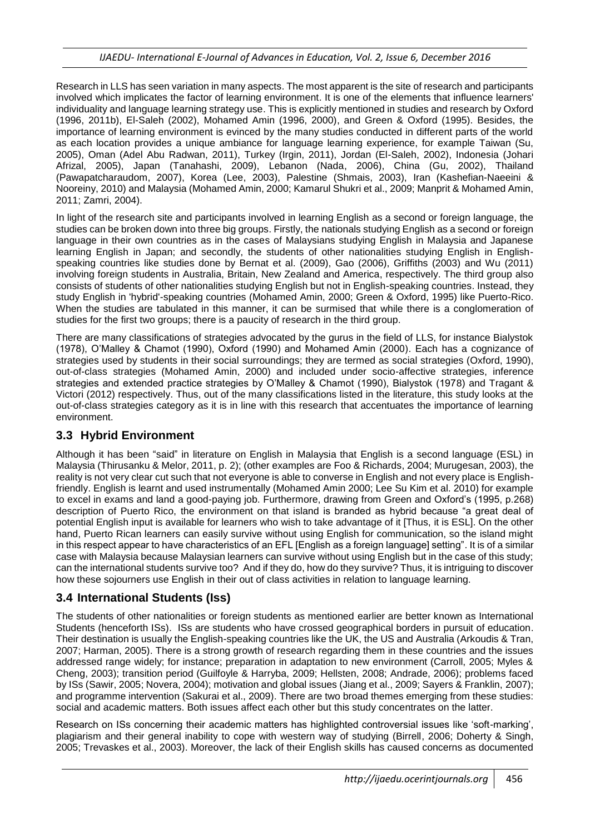Research in LLS has seen variation in many aspects. The most apparent is the site of research and participants involved which implicates the factor of learning environment. It is one of the elements that influence learners' individuality and language learning strategy use. This is explicitly mentioned in studies and research by Oxford (1996, 2011b), El-Saleh (2002), Mohamed Amin (1996, 2000), and Green & Oxford (1995). Besides, the importance of learning environment is evinced by the many studies conducted in different parts of the world as each location provides a unique ambiance for language learning experience, for example Taiwan (Su, 2005), Oman (Adel Abu Radwan, 2011), Turkey (Irgin, 2011), Jordan (El-Saleh, 2002), Indonesia (Johari Afrizal, 2005), Japan (Tanahashi, 2009), Lebanon (Nada, 2006), China (Gu, 2002), Thailand (Pawapatcharaudom, 2007), Korea (Lee, 2003), Palestine (Shmais, 2003), Iran (Kashefian-Naeeini & Nooreiny, 2010) and Malaysia (Mohamed Amin, 2000; Kamarul Shukri et al., 2009; Manprit & Mohamed Amin, 2011; Zamri, 2004).

In light of the research site and participants involved in learning English as a second or foreign language, the studies can be broken down into three big groups. Firstly, the nationals studying English as a second or foreign language in their own countries as in the cases of Malaysians studying English in Malaysia and Japanese learning English in Japan; and secondly, the students of other nationalities studying English in Englishspeaking countries like studies done by Bernat et al. (2009), Gao (2006), Griffiths (2003) and Wu (2011) involving foreign students in Australia, Britain, New Zealand and America, respectively. The third group also consists of students of other nationalities studying English but not in English-speaking countries. Instead, they study English in 'hybrid'-speaking countries (Mohamed Amin, 2000; Green & Oxford, 1995) like Puerto-Rico. When the studies are tabulated in this manner, it can be surmised that while there is a conglomeration of studies for the first two groups; there is a paucity of research in the third group.

There are many classifications of strategies advocated by the gurus in the field of LLS, for instance Bialystok (1978), O'Malley & Chamot (1990), Oxford (1990) and Mohamed Amin (2000). Each has a cognizance of strategies used by students in their social surroundings; they are termed as social strategies (Oxford, 1990), out-of-class strategies (Mohamed Amin, 2000) and included under socio-affective strategies, inference strategies and extended practice strategies by O'Malley & Chamot (1990), Bialystok (1978) and Tragant & Victori (2012) respectively. Thus, out of the many classifications listed in the literature, this study looks at the out-of-class strategies category as it is in line with this research that accentuates the importance of learning environment.

## **3.3 Hybrid Environment**

Although it has been "said" in literature on English in Malaysia that English is a second language (ESL) in Malaysia (Thirusanku & Melor, 2011, p. 2); (other examples are Foo & Richards, 2004; Murugesan, 2003), the reality is not very clear cut such that not everyone is able to converse in English and not every place is Englishfriendly. English is learnt and used instrumentally (Mohamed Amin 2000; Lee Su Kim et al. 2010) for example to excel in exams and land a good-paying job. Furthermore, drawing from Green and Oxford's (1995, p.268) description of Puerto Rico, the environment on that island is branded as hybrid because "a great deal of potential English input is available for learners who wish to take advantage of it [Thus, it is ESL]. On the other hand, Puerto Rican learners can easily survive without using English for communication, so the island might in this respect appear to have characteristics of an EFL [English as a foreign language] setting". It is of a similar case with Malaysia because Malaysian learners can survive without using English but in the case of this study; can the international students survive too? And if they do, how do they survive? Thus, it is intriguing to discover how these sojourners use English in their out of class activities in relation to language learning.

## **3.4 International Students (Iss)**

The students of other nationalities or foreign students as mentioned earlier are better known as International Students (henceforth ISs). ISs are students who have crossed geographical borders in pursuit of education. Their destination is usually the English-speaking countries like the UK, the US and Australia (Arkoudis & Tran, 2007; Harman, 2005). There is a strong growth of research regarding them in these countries and the issues addressed range widely; for instance; preparation in adaptation to new environment (Carroll, 2005; Myles & Cheng, 2003); transition period (Guilfoyle & Harryba, 2009; Hellsten, 2008; Andrade, 2006); problems faced by ISs (Sawir, 2005; Novera, 2004); motivation and global issues (Jiang et al., 2009; Sayers & Franklin, 2007); and programme intervention (Sakurai et al., 2009). There are two broad themes emerging from these studies: social and academic matters. Both issues affect each other but this study concentrates on the latter.

Research on ISs concerning their academic matters has highlighted controversial issues like 'soft-marking', plagiarism and their general inability to cope with western way of studying (Birrell, 2006; Doherty & Singh, 2005; Trevaskes et al., 2003). Moreover, the lack of their English skills has caused concerns as documented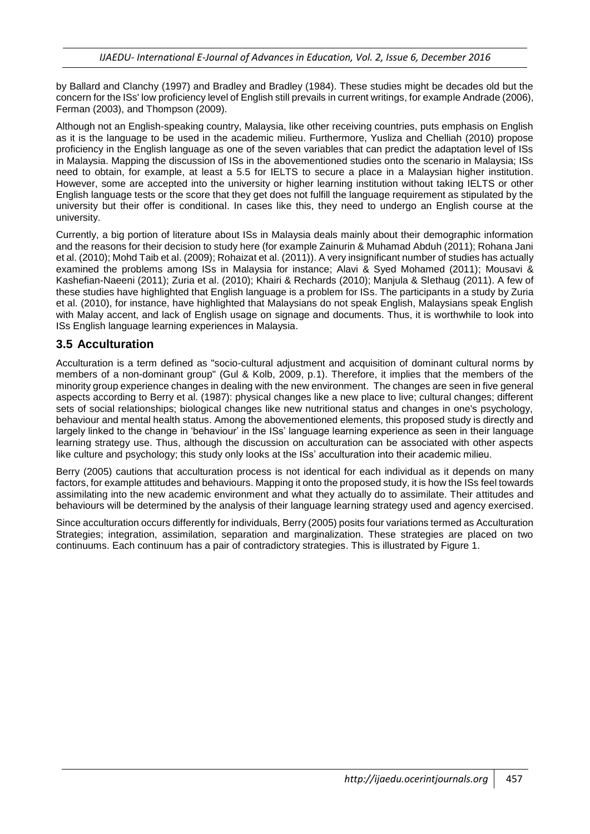by Ballard and Clanchy (1997) and Bradley and Bradley (1984). These studies might be decades old but the concern for the ISs' low proficiency level of English still prevails in current writings, for example Andrade (2006), Ferman (2003), and Thompson (2009).

Although not an English-speaking country, Malaysia, like other receiving countries, puts emphasis on English as it is the language to be used in the academic milieu. Furthermore, Yusliza and Chelliah (2010) propose proficiency in the English language as one of the seven variables that can predict the adaptation level of ISs in Malaysia. Mapping the discussion of ISs in the abovementioned studies onto the scenario in Malaysia; ISs need to obtain, for example, at least a 5.5 for IELTS to secure a place in a Malaysian higher institution. However, some are accepted into the university or higher learning institution without taking IELTS or other English language tests or the score that they get does not fulfill the language requirement as stipulated by the university but their offer is conditional. In cases like this, they need to undergo an English course at the university.

Currently, a big portion of literature about ISs in Malaysia deals mainly about their demographic information and the reasons for their decision to study here (for example Zainurin & Muhamad Abduh (2011); Rohana Jani et al. (2010); Mohd Taib et al. (2009); Rohaizat et al. (2011)). A very insignificant number of studies has actually examined the problems among ISs in Malaysia for instance; Alavi & Syed Mohamed (2011); Mousavi & Kashefian-Naeeni (2011); Zuria et al. (2010); Khairi & Rechards (2010); Manjula & Slethaug (2011). A few of these studies have highlighted that English language is a problem for ISs. The participants in a study by Zuria et al. (2010), for instance, have highlighted that Malaysians do not speak English, Malaysians speak English with Malay accent, and lack of English usage on signage and documents. Thus, it is worthwhile to look into ISs English language learning experiences in Malaysia.

### **3.5 Acculturation**

Acculturation is a term defined as "socio-cultural adjustment and acquisition of dominant cultural norms by members of a non-dominant group" (Gul & Kolb, 2009, p.1). Therefore, it implies that the members of the minority group experience changes in dealing with the new environment. The changes are seen in five general aspects according to Berry et al. (1987): physical changes like a new place to live; cultural changes; different sets of social relationships; biological changes like new nutritional status and changes in one's psychology, behaviour and mental health status. Among the abovementioned elements, this proposed study is directly and largely linked to the change in 'behaviour' in the ISs' language learning experience as seen in their language learning strategy use. Thus, although the discussion on acculturation can be associated with other aspects like culture and psychology; this study only looks at the ISs' acculturation into their academic milieu.

Berry (2005) cautions that acculturation process is not identical for each individual as it depends on many factors, for example attitudes and behaviours. Mapping it onto the proposed study, it is how the ISs feel towards assimilating into the new academic environment and what they actually do to assimilate. Their attitudes and behaviours will be determined by the analysis of their language learning strategy used and agency exercised.

Since acculturation occurs differently for individuals, Berry (2005) posits four variations termed as Acculturation Strategies; integration, assimilation, separation and marginalization. These strategies are placed on two continuums. Each continuum has a pair of contradictory strategies. This is illustrated by Figure 1.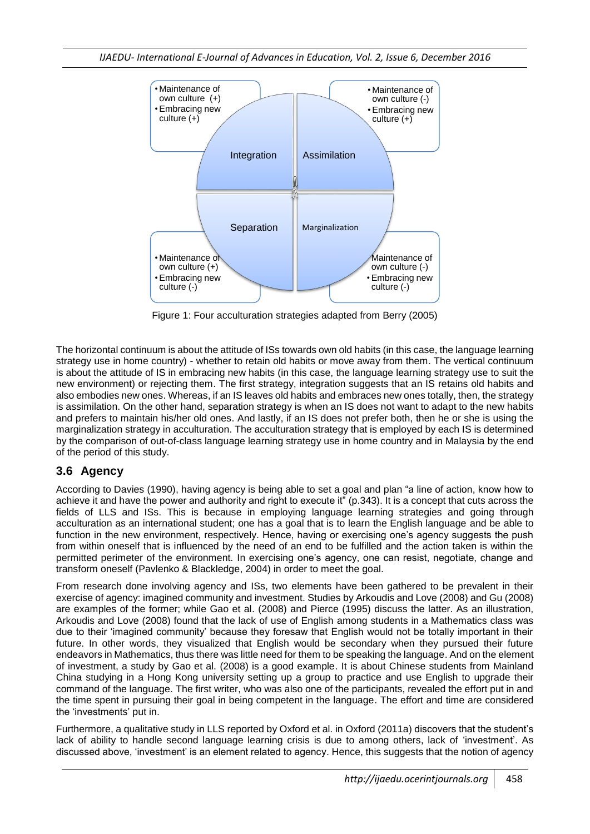

Figure 1: Four acculturation strategies adapted from Berry (2005)

The horizontal continuum is about the attitude of ISs towards own old habits (in this case, the language learning strategy use in home country) - whether to retain old habits or move away from them. The vertical continuum is about the attitude of IS in embracing new habits (in this case, the language learning strategy use to suit the new environment) or rejecting them. The first strategy, integration suggests that an IS retains old habits and also embodies new ones. Whereas, if an IS leaves old habits and embraces new ones totally, then, the strategy is assimilation. On the other hand, separation strategy is when an IS does not want to adapt to the new habits and prefers to maintain his/her old ones. And lastly, if an IS does not prefer both, then he or she is using the marginalization strategy in acculturation. The acculturation strategy that is employed by each IS is determined by the comparison of out-of-class language learning strategy use in home country and in Malaysia by the end of the period of this study.

## **3.6 Agency**

According to Davies (1990), having agency is being able to set a goal and plan "a line of action, know how to achieve it and have the power and authority and right to execute it" (p.343). It is a concept that cuts across the fields of LLS and ISs. This is because in employing language learning strategies and going through acculturation as an international student; one has a goal that is to learn the English language and be able to function in the new environment, respectively. Hence, having or exercising one's agency suggests the push from within oneself that is influenced by the need of an end to be fulfilled and the action taken is within the permitted perimeter of the environment. In exercising one's agency, one can resist, negotiate, change and transform oneself (Pavlenko & Blackledge, 2004) in order to meet the goal.

From research done involving agency and ISs, two elements have been gathered to be prevalent in their exercise of agency: imagined community and investment. Studies by Arkoudis and Love (2008) and Gu (2008) are examples of the former; while Gao et al. (2008) and Pierce (1995) discuss the latter. As an illustration, Arkoudis and Love (2008) found that the lack of use of English among students in a Mathematics class was due to their 'imagined community' because they foresaw that English would not be totally important in their future. In other words, they visualized that English would be secondary when they pursued their future endeavors in Mathematics, thus there was little need for them to be speaking the language. And on the element of investment, a study by Gao et al. (2008) is a good example. It is about Chinese students from Mainland China studying in a Hong Kong university setting up a group to practice and use English to upgrade their command of the language. The first writer, who was also one of the participants, revealed the effort put in and the time spent in pursuing their goal in being competent in the language. The effort and time are considered the 'investments' put in.

Furthermore, a qualitative study in LLS reported by Oxford et al. in Oxford (2011a) discovers that the student's lack of ability to handle second language learning crisis is due to among others, lack of 'investment'. As discussed above, 'investment' is an element related to agency. Hence, this suggests that the notion of agency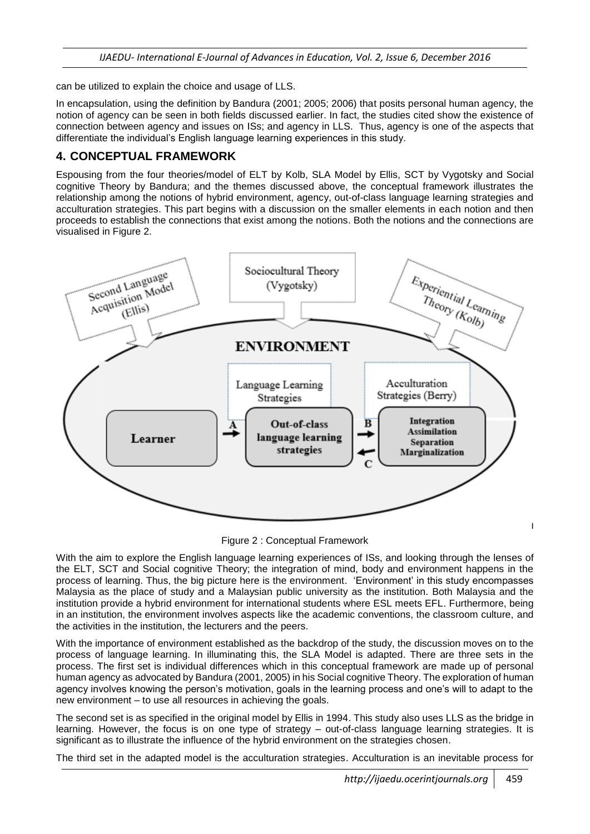can be utilized to explain the choice and usage of LLS.

In encapsulation, using the definition by Bandura (2001; 2005; 2006) that posits personal human agency, the notion of agency can be seen in both fields discussed earlier. In fact, the studies cited show the existence of connection between agency and issues on ISs; and agency in LLS. Thus, agency is one of the aspects that differentiate the individual's English language learning experiences in this study.

## **4. CONCEPTUAL FRAMEWORK**

Espousing from the four theories/model of ELT by Kolb, SLA Model by Ellis, SCT by Vygotsky and Social cognitive Theory by Bandura; and the themes discussed above, the conceptual framework illustrates the relationship among the notions of hybrid environment, agency, out-of-class language learning strategies and acculturation strategies. This part begins with a discussion on the smaller elements in each notion and then proceeds to establish the connections that exist among the notions. Both the notions and the connections are visualised in Figure 2.



Figure 2 : Conceptual Framework

With the aim to explore the English language learning experiences of ISs, and looking through the lenses of the ELT, SCT and Social cognitive Theory; the integration of mind, body and environment happens in the process of learning. Thus, the big picture here is the environment. 'Environment' in this study encompasses Malaysia as the place of study and a Malaysian public university as the institution. Both Malaysia and the institution provide a hybrid environment for international students where ESL meets EFL. Furthermore, being in an institution, the environment involves aspects like the academic conventions, the classroom culture, and the activities in the institution, the lecturers and the peers.

With the importance of environment established as the backdrop of the study, the discussion moves on to the process of language learning. In illuminating this, the SLA Model is adapted. There are three sets in the process. The first set is individual differences which in this conceptual framework are made up of personal human agency as advocated by Bandura (2001, 2005) in his Social cognitive Theory. The exploration of human agency involves knowing the person's motivation, goals in the learning process and one's will to adapt to the new environment – to use all resources in achieving the goals.

The second set is as specified in the original model by Ellis in 1994. This study also uses LLS as the bridge in learning. However, the focus is on one type of strategy – out-of-class language learning strategies. It is significant as to illustrate the influence of the hybrid environment on the strategies chosen.

The third set in the adapted model is the acculturation strategies. Acculturation is an inevitable process for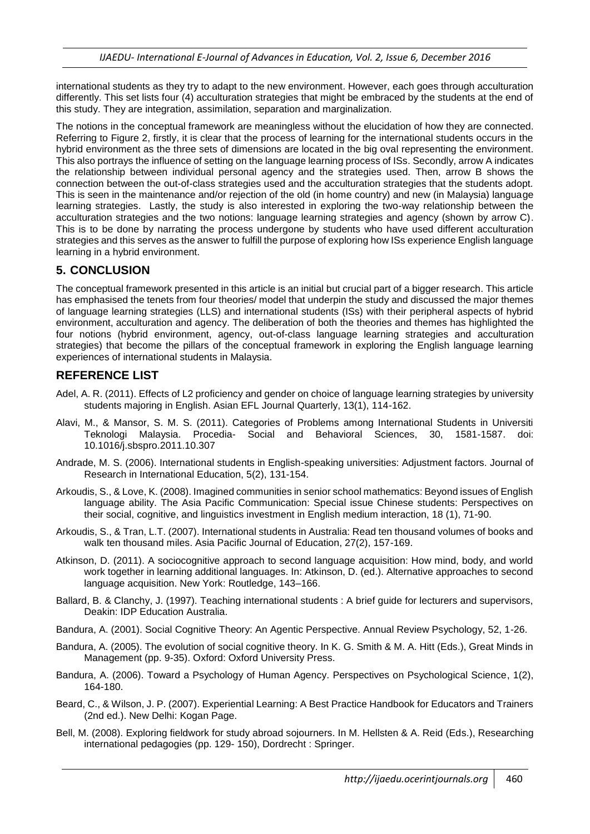international students as they try to adapt to the new environment. However, each goes through acculturation differently. This set lists four (4) acculturation strategies that might be embraced by the students at the end of this study. They are integration, assimilation, separation and marginalization.

The notions in the conceptual framework are meaningless without the elucidation of how they are connected. Referring to Figure 2, firstly, it is clear that the process of learning for the international students occurs in the hybrid environment as the three sets of dimensions are located in the big oval representing the environment. This also portrays the influence of setting on the language learning process of ISs. Secondly, arrow A indicates the relationship between individual personal agency and the strategies used. Then, arrow B shows the connection between the out-of-class strategies used and the acculturation strategies that the students adopt. This is seen in the maintenance and/or rejection of the old (in home country) and new (in Malaysia) language learning strategies. Lastly, the study is also interested in exploring the two-way relationship between the acculturation strategies and the two notions: language learning strategies and agency (shown by arrow C). This is to be done by narrating the process undergone by students who have used different acculturation strategies and this serves as the answer to fulfill the purpose of exploring how ISs experience English language learning in a hybrid environment.

## **5. CONCLUSION**

The conceptual framework presented in this article is an initial but crucial part of a bigger research. This article has emphasised the tenets from four theories/ model that underpin the study and discussed the major themes of language learning strategies (LLS) and international students (ISs) with their peripheral aspects of hybrid environment, acculturation and agency. The deliberation of both the theories and themes has highlighted the four notions (hybrid environment, agency, out-of-class language learning strategies and acculturation strategies) that become the pillars of the conceptual framework in exploring the English language learning experiences of international students in Malaysia.

## **REFERENCE LIST**

- Adel, A. R. (2011). Effects of L2 proficiency and gender on choice of language learning strategies by university students majoring in English. Asian EFL Journal Quarterly, 13(1), 114-162.
- Alavi, M., & Mansor, S. M. S. (2011). Categories of Problems among International Students in Universiti Teknologi Malaysia. Procedia- Social and Behavioral Sciences, 30, 1581-1587. doi: 10.1016/j.sbspro.2011.10.307
- Andrade, M. S. (2006). International students in English-speaking universities: Adjustment factors. Journal of Research in International Education, 5(2), 131-154.
- Arkoudis, S., & Love, K. (2008). Imagined communities in senior school mathematics: Beyond issues of English language ability. The Asia Pacific Communication: Special issue Chinese students: Perspectives on their social, cognitive, and linguistics investment in English medium interaction, 18 (1), 71-90.
- Arkoudis, S., & Tran, L.T. (2007). International students in Australia: Read ten thousand volumes of books and walk ten thousand miles. Asia Pacific Journal of Education, 27(2), 157-169.
- Atkinson, D. (2011). A sociocognitive approach to second language acquisition: How mind, body, and world work together in learning additional languages. In: Atkinson, D. (ed.). Alternative approaches to second language acquisition. New York: Routledge, 143–166.
- Ballard, B. & Clanchy, J. (1997). Teaching international students : A brief guide for lecturers and supervisors, Deakin: IDP Education Australia.
- Bandura, A. (2001). Social Cognitive Theory: An Agentic Perspective. Annual Review Psychology, 52, 1-26.
- Bandura, A. (2005). The evolution of social cognitive theory. In K. G. Smith & M. A. Hitt (Eds.), Great Minds in Management (pp. 9-35). Oxford: Oxford University Press.
- Bandura, A. (2006). Toward a Psychology of Human Agency. Perspectives on Psychological Science, 1(2), 164-180.
- Beard, C., & Wilson, J. P. (2007). Experiential Learning: A Best Practice Handbook for Educators and Trainers (2nd ed.). New Delhi: Kogan Page.
- Bell, M. (2008). Exploring fieldwork for study abroad sojourners. In M. Hellsten & A. Reid (Eds.), Researching international pedagogies (pp. 129- 150), Dordrecht : Springer.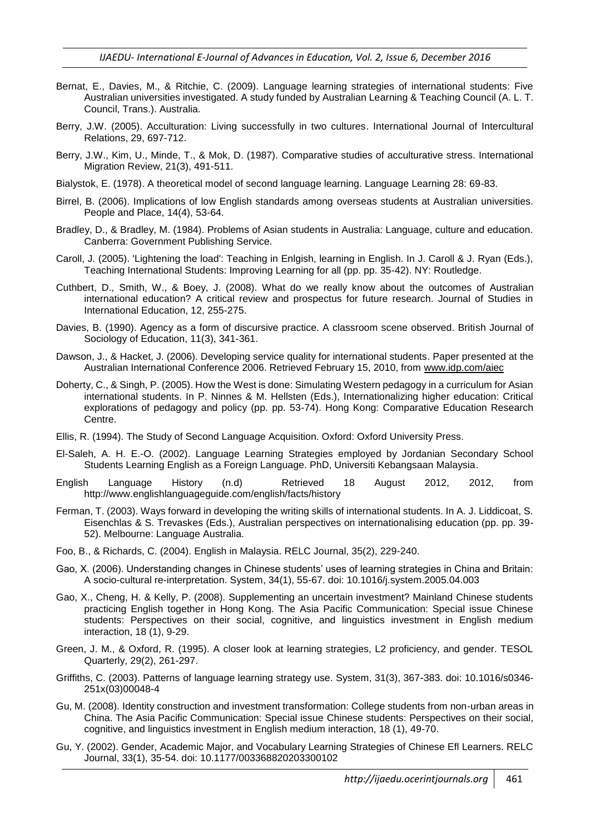- Bernat, E., Davies, M., & Ritchie, C. (2009). Language learning strategies of international students: Five Australian universities investigated. A study funded by Australian Learning & Teaching Council (A. L. T. Council, Trans.). Australia.
- Berry, J.W. (2005). Acculturation: Living successfully in two cultures. International Journal of Intercultural Relations, 29, 697-712.
- Berry, J.W., Kim, U., Minde, T., & Mok, D. (1987). Comparative studies of acculturative stress. International Migration Review, 21(3), 491-511.
- Bialystok, E. (1978). A theoretical model of second language learning. Language Learning 28: 69-83.
- Birrel, B. (2006). Implications of low English standards among overseas students at Australian universities. People and Place, 14(4), 53-64.
- Bradley, D., & Bradley, M. (1984). Problems of Asian students in Australia: Language, culture and education. Canberra: Government Publishing Service.
- Caroll, J. (2005). 'Lightening the load': Teaching in Enlgish, learning in English. In J. Caroll & J. Ryan (Eds.), Teaching International Students: Improving Learning for all (pp. pp. 35-42). NY: Routledge.
- Cuthbert, D., Smith, W., & Boey, J. (2008). What do we really know about the outcomes of Australian international education? A critical review and prospectus for future research. Journal of Studies in International Education, 12, 255-275.
- Davies, B. (1990). Agency as a form of discursive practice. A classroom scene observed. British Journal of Sociology of Education, 11(3), 341-361.
- Dawson, J., & Hacket, J. (2006). Developing service quality for international students. Paper presented at the Australian International Conference 2006. Retrieved February 15, 2010, from [www.idp.com/aiec](http://www.idp.com/aiec)
- Doherty, C., & Singh, P. (2005). How the West is done: Simulating Western pedagogy in a curriculum for Asian international students. In P. Ninnes & M. Hellsten (Eds.), Internationalizing higher education: Critical explorations of pedagogy and policy (pp. pp. 53-74). Hong Kong: Comparative Education Research Centre.
- Ellis, R. (1994). The Study of Second Language Acquisition. Oxford: Oxford University Press.
- El-Saleh, A. H. E.-O. (2002). Language Learning Strategies employed by Jordanian Secondary School Students Learning English as a Foreign Language. PhD, Universiti Kebangsaan Malaysia.
- English Language History (n.d) Retrieved 18 August 2012, 2012, from http://www.englishlanguageguide.com/english/facts/history
- Ferman, T. (2003). Ways forward in developing the writing skills of international students. In A. J. Liddicoat, S. Eisenchlas & S. Trevaskes (Eds.), Australian perspectives on internationalising education (pp. pp. 39- 52). Melbourne: Language Australia.
- Foo, B., & Richards, C. (2004). English in Malaysia. RELC Journal, 35(2), 229-240.
- Gao, X. (2006). Understanding changes in Chinese students' uses of learning strategies in China and Britain: A socio-cultural re-interpretation. System, 34(1), 55-67. doi: 10.1016/j.system.2005.04.003
- Gao, X., Cheng, H. & Kelly, P. (2008). Supplementing an uncertain investment? Mainland Chinese students practicing English together in Hong Kong. The Asia Pacific Communication: Special issue Chinese students: Perspectives on their social, cognitive, and linguistics investment in English medium interaction, 18 (1), 9-29.
- Green, J. M., & Oxford, R. (1995). A closer look at learning strategies, L2 proficiency, and gender. TESOL Quarterly, 29(2), 261-297.
- Griffiths, C. (2003). Patterns of language learning strategy use. System, 31(3), 367-383. doi: 10.1016/s0346- 251x(03)00048-4
- Gu, M. (2008). Identity construction and investment transformation: College students from non-urban areas in China. The Asia Pacific Communication: Special issue Chinese students: Perspectives on their social, cognitive, and linguistics investment in English medium interaction, 18 (1), 49-70.
- Gu, Y. (2002). Gender, Academic Major, and Vocabulary Learning Strategies of Chinese Efl Learners. RELC Journal, 33(1), 35-54. doi: 10.1177/003368820203300102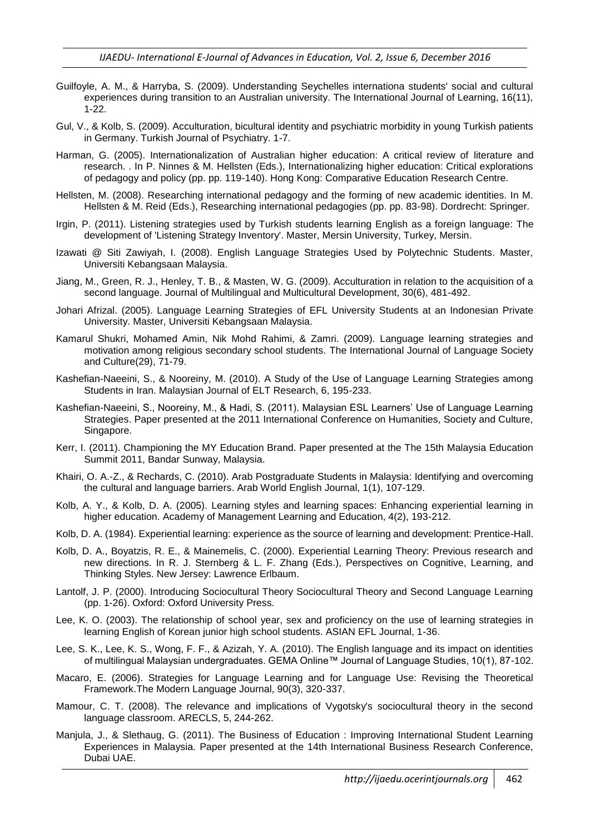- Guilfoyle, A. M., & Harryba, S. (2009). Understanding Seychelles internationa students' social and cultural experiences during transition to an Australian university. The International Journal of Learning, 16(11), 1-22.
- Gul, V., & Kolb, S. (2009). Acculturation, bicultural identity and psychiatric morbidity in young Turkish patients in Germany. Turkish Journal of Psychiatry. 1-7.
- Harman, G. (2005). Internationalization of Australian higher education: A critical review of literature and research. . In P. Ninnes & M. Hellsten (Eds.), Internationalizing higher education: Critical explorations of pedagogy and policy (pp. pp. 119-140). Hong Kong: Comparative Education Research Centre.
- Hellsten, M. (2008). Researching international pedagogy and the forming of new academic identities. In M. Hellsten & M. Reid (Eds.), Researching international pedagogies (pp. pp. 83-98). Dordrecht: Springer.
- Irgin, P. (2011). Listening strategies used by Turkish students learning English as a foreign language: The development of 'Listening Strategy Inventory'. Master, Mersin University, Turkey, Mersin.
- Izawati @ Siti Zawiyah, I. (2008). English Language Strategies Used by Polytechnic Students. Master, Universiti Kebangsaan Malaysia.
- Jiang, M., Green, R. J., Henley, T. B., & Masten, W. G. (2009). Acculturation in relation to the acquisition of a second language. Journal of Multilingual and Multicultural Development, 30(6), 481-492.
- Johari Afrizal. (2005). Language Learning Strategies of EFL University Students at an Indonesian Private University. Master, Universiti Kebangsaan Malaysia.
- Kamarul Shukri, Mohamed Amin, Nik Mohd Rahimi, & Zamri. (2009). Language learning strategies and motivation among religious secondary school students. The International Journal of Language Society and Culture(29), 71-79.
- Kashefian-Naeeini, S., & Nooreiny, M. (2010). A Study of the Use of Language Learning Strategies among Students in Iran. Malaysian Journal of ELT Research, 6, 195-233.
- Kashefian-Naeeini, S., Nooreiny, M., & Hadi, S. (2011). Malaysian ESL Learners' Use of Language Learning Strategies. Paper presented at the 2011 International Conference on Humanities, Society and Culture, Singapore.
- Kerr, I. (2011). Championing the MY Education Brand. Paper presented at the The 15th Malaysia Education Summit 2011, Bandar Sunway, Malaysia.
- Khairi, O. A.-Z., & Rechards, C. (2010). Arab Postgraduate Students in Malaysia: Identifying and overcoming the cultural and language barriers. Arab World English Journal, 1(1), 107-129.
- Kolb, A. Y., & Kolb, D. A. (2005). Learning styles and learning spaces: Enhancing experiential learning in higher education. Academy of Management Learning and Education, 4(2), 193-212.
- Kolb, D. A. (1984). Experiential learning: experience as the source of learning and development: Prentice-Hall.
- Kolb, D. A., Boyatzis, R. E., & Mainemelis, C. (2000). Experiential Learning Theory: Previous research and new directions. In R. J. Sternberg & L. F. Zhang (Eds.), Perspectives on Cognitive, Learning, and Thinking Styles. New Jersey: Lawrence Erlbaum.
- Lantolf, J. P. (2000). Introducing Sociocultural Theory Sociocultural Theory and Second Language Learning (pp. 1-26). Oxford: Oxford University Press.
- Lee, K. O. (2003). The relationship of school year, sex and proficiency on the use of learning strategies in learning English of Korean junior high school students. ASIAN EFL Journal, 1-36.
- Lee, S. K., Lee, K. S., Wong, F. F., & Azizah, Y. A. (2010). The English language and its impact on identities of multilingual Malaysian undergraduates. GEMA Online™ Journal of Language Studies, 10(1), 87-102.
- Macaro, E. (2006). Strategies for Language Learning and for Language Use: Revising the Theoretical Framework.The Modern Language Journal, 90(3), 320-337.
- Mamour, C. T. (2008). The relevance and implications of Vygotsky's sociocultural theory in the second language classroom. ARECLS, 5, 244-262.
- Manjula, J., & Slethaug, G. (2011). The Business of Education : Improving International Student Learning Experiences in Malaysia. Paper presented at the 14th International Business Research Conference, Dubai UAE.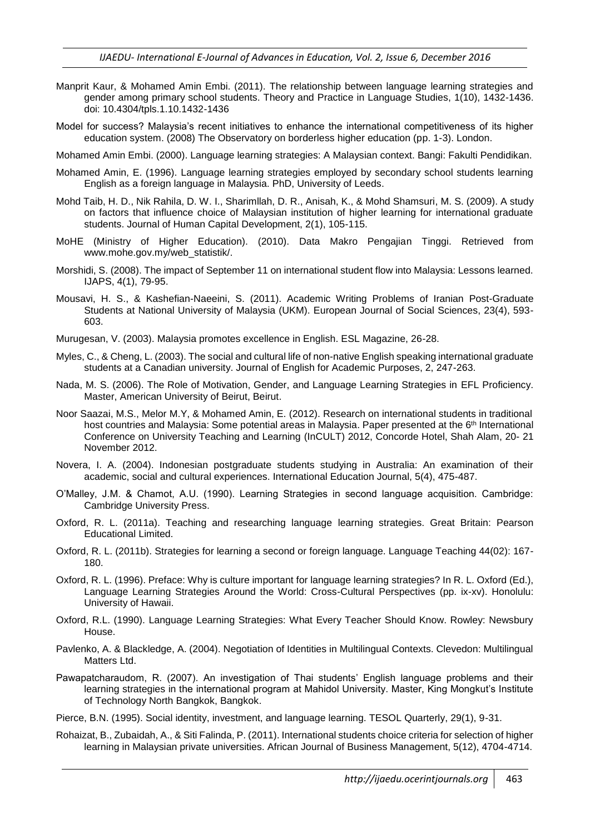- Manprit Kaur, & Mohamed Amin Embi. (2011). The relationship between language learning strategies and gender among primary school students. Theory and Practice in Language Studies, 1(10), 1432-1436. doi: 10.4304/tpls.1.10.1432-1436
- Model for success? Malaysia's recent initiatives to enhance the international competitiveness of its higher education system. (2008) The Observatory on borderless higher education (pp. 1-3). London.
- Mohamed Amin Embi. (2000). Language learning strategies: A Malaysian context. Bangi: Fakulti Pendidikan.
- Mohamed Amin, E. (1996). Language learning strategies employed by secondary school students learning English as a foreign language in Malaysia. PhD, University of Leeds.
- Mohd Taib, H. D., Nik Rahila, D. W. I., Sharimllah, D. R., Anisah, K., & Mohd Shamsuri, M. S. (2009). A study on factors that influence choice of Malaysian institution of higher learning for international graduate students. Journal of Human Capital Development, 2(1), 105-115.
- MoHE (Ministry of Higher Education). (2010). Data Makro Pengajian Tinggi. Retrieved from www.mohe.gov.my/web\_statistik/.
- Morshidi, S. (2008). The impact of September 11 on international student flow into Malaysia: Lessons learned. IJAPS, 4(1), 79-95.
- Mousavi, H. S., & Kashefian-Naeeini, S. (2011). Academic Writing Problems of Iranian Post-Graduate Students at National University of Malaysia (UKM). European Journal of Social Sciences, 23(4), 593- 603.
- Murugesan, V. (2003). Malaysia promotes excellence in English. ESL Magazine, 26-28.
- Myles, C., & Cheng, L. (2003). The social and cultural life of non-native English speaking international graduate students at a Canadian university. Journal of English for Academic Purposes, 2, 247-263.
- Nada, M. S. (2006). The Role of Motivation, Gender, and Language Learning Strategies in EFL Proficiency. Master, American University of Beirut, Beirut.
- Noor Saazai, M.S., Melor M.Y, & Mohamed Amin, E. (2012). Research on international students in traditional host countries and Malaysia: Some potential areas in Malaysia. Paper presented at the 6<sup>th</sup> International Conference on University Teaching and Learning (InCULT) 2012, Concorde Hotel, Shah Alam, 20- 21 November 2012.
- Novera, I. A. (2004). Indonesian postgraduate students studying in Australia: An examination of their academic, social and cultural experiences. International Education Journal, 5(4), 475-487.
- O'Malley, J.M. & Chamot, A.U. (1990). Learning Strategies in second language acquisition. Cambridge: Cambridge University Press.
- Oxford, R. L. (2011a). Teaching and researching language learning strategies. Great Britain: Pearson Educational Limited.
- Oxford, R. L. (2011b). Strategies for learning a second or foreign language. Language Teaching 44(02): 167- 180.
- Oxford, R. L. (1996). Preface: Why is culture important for language learning strategies? In R. L. Oxford (Ed.), Language Learning Strategies Around the World: Cross-Cultural Perspectives (pp. ix-xv). Honolulu: University of Hawaii.
- Oxford, R.L. (1990). Language Learning Strategies: What Every Teacher Should Know. Rowley: Newsbury House.
- Pavlenko, A. & Blackledge, A. (2004). Negotiation of Identities in Multilingual Contexts. Clevedon: Multilingual Matters Ltd.
- Pawapatcharaudom, R. (2007). An investigation of Thai students' English language problems and their learning strategies in the international program at Mahidol University. Master, King Mongkut's Institute of Technology North Bangkok, Bangkok.
- Pierce, B.N. (1995). Social identity, investment, and language learning. TESOL Quarterly, 29(1), 9-31.
- Rohaizat, B., Zubaidah, A., & Siti Falinda, P. (2011). International students choice criteria for selection of higher learning in Malaysian private universities. African Journal of Business Management, 5(12), 4704-4714.